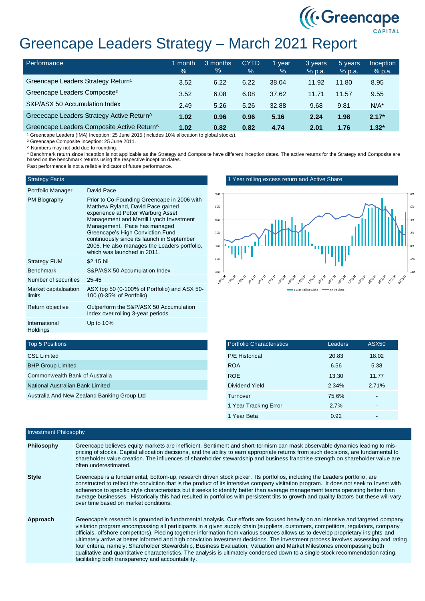

# Greencape Leaders Strategy – March 2021 Report

| <b>Performance</b>                             | 1 month<br>$\frac{1}{2}$ | 3 months<br>$\%$ | <b>CYTD</b><br>% | 1 year<br>$\%$ | 3 years<br>$%$ p.a. | 5 years<br>$%$ p.a. | <b>Inception</b><br>% p.a. |
|------------------------------------------------|--------------------------|------------------|------------------|----------------|---------------------|---------------------|----------------------------|
| Greencape Leaders Strategy Return <sup>1</sup> | 3.52                     | 6.22             | 6.22             | 38.04          | 11.92               | 11.80               | 8.95                       |
| Greencape Leaders Composite <sup>2</sup>       | 3.52                     | 6.08             | 6.08             | 37.62          | 11.71               | 11.57               | 9.55                       |
| S&P/ASX 50 Accumulation Index                  | 2.49                     | 5.26             | 5.26             | 32.88          | 9.68                | 9.81                | $N/A^*$                    |
| Greeecape Leaders Strategy Active Return^      | 1.02                     | 0.96             | 0.96             | 5.16           | 2.24                | 1.98                | $2.17*$                    |
| Greencape Leaders Composite Active Return^     | 1.02                     | 0.82             | 0.82             | 4.74           | 2.01                | 1.76                | $1.32*$                    |

<sup>1</sup> Greencape Leaders (IMA) Inception: 25 June 2015 (includes 10% allocation to global stocks).

² Greencape Composite Inception: 25 June 2011.

^ Numbers may not add due to rounding.

\* Benchmark return since inception is not applicable as the Strategy and Composite have different inception dates. The active returns for the Strategy and Composite are based on the benchmark returns using the respective inception dates.

Past performance is not a reliable indicator of future performance.

### Strategy Facts

| ちょうげんせん きすん くんしょう |  |  |  |  |  |
|-------------------|--|--|--|--|--|

| Portfolio Manager               | David Pace                                                                                                                                                                                                                                                                                                                                                         |
|---------------------------------|--------------------------------------------------------------------------------------------------------------------------------------------------------------------------------------------------------------------------------------------------------------------------------------------------------------------------------------------------------------------|
| PM Biography                    | Prior to Co-Founding Greencape in 2006 with<br>Matthew Ryland, David Pace gained<br>experience at Potter Warburg Asset<br>Management and Merrill Lynch Investment<br>Management. Pace has managed<br>Greencape's High Conviction Fund<br>continuously since its launch in September<br>2006. He also manages the Leaders portfolio.<br>which was launched in 2011. |
| <b>Strategy FUM</b>             | \$2.15 bil                                                                                                                                                                                                                                                                                                                                                         |
| <b>Benchmark</b>                | S&P/ASX 50 Accumulation Index                                                                                                                                                                                                                                                                                                                                      |
| Number of securities            | $25 - 45$                                                                                                                                                                                                                                                                                                                                                          |
| Market capitalisation<br>limits | ASX top 50 (0-100% of Portfolio) and ASX 50-<br>100 (0-35% of Portfolio)                                                                                                                                                                                                                                                                                           |
| Return objective                | Outperform the S&P/ASX 50 Accumulation<br>Index over rolling 3-year periods.                                                                                                                                                                                                                                                                                       |
| International<br>Holdings       | Up to $10\%$                                                                                                                                                                                                                                                                                                                                                       |

1 Year rolling excess return and Active Share



## Top 5 Positions

| <b>CSL Limited</b>                          |
|---------------------------------------------|
| <b>BHP Group Limited</b>                    |
| Commonwealth Bank of Australia              |
| National Australian Bank Limited            |
| Australia And New Zealand Banking Group Ltd |

| <b>Portfolio Characteristics</b> | Leaders | <b>ASX50</b> |
|----------------------------------|---------|--------------|
| <b>P/E Historical</b>            | 20.83   | 18.02        |
| <b>ROA</b>                       | 6.56    | 5.38         |
| <b>ROE</b>                       | 13.30   | 11.77        |
| Dividend Yield                   | 2.34%   | 2.71%        |
| Turnover                         | 75.6%   |              |
| 1 Year Tracking Error            | 2.7%    |              |
| 1 Year Beta                      | 0.92    |              |

| <b>Investment Philosophy</b> |                                                                                                                                                                                                                                                                                                                                                                                                                                                                                                                                                                                                                                                                                                                                                                                                                                                                    |
|------------------------------|--------------------------------------------------------------------------------------------------------------------------------------------------------------------------------------------------------------------------------------------------------------------------------------------------------------------------------------------------------------------------------------------------------------------------------------------------------------------------------------------------------------------------------------------------------------------------------------------------------------------------------------------------------------------------------------------------------------------------------------------------------------------------------------------------------------------------------------------------------------------|
| Philosophy                   | Greencape believes equity markets are inefficient. Sentiment and short-termism can mask observable dynamics leading to mis-<br>pricing of stocks. Capital allocation decisions, and the ability to earn appropriate returns from such decisions, are fundamental to<br>shareholder value creation. The influences of shareholder stewardship and business franchise strength on shareholder value are<br>often underestimated.                                                                                                                                                                                                                                                                                                                                                                                                                                     |
| <b>Style</b>                 | Greencape is a fundamental, bottom-up, research driven stock picker. Its portfolios, including the Leaders portfolio, are<br>constructed to reflect the conviction that is the product of its intensive company visitation program. It does not seek to invest with<br>adherence to specific style characteristics but it seeks to identify better than average management teams operating better than<br>average businesses. Historically this had resulted in portfolios with persistent tilts to growth and quality factors but these will vary<br>over time based on market conditions.                                                                                                                                                                                                                                                                        |
| Approach                     | Greencape's research is grounded in fundamental analysis. Our efforts are focused heavily on an intensive and targeted company<br>visitation program encompassing all participants in a given supply chain (suppliers, customers, competitors, regulators, company<br>officials, offshore competitors). Piecing together information from various sources allows us to develop proprietary insights and<br>ultimately arrive at better informed and high conviction investment decisions. The investment process involves assessing and rating<br>four criteria, namely: Shareholder Stewardship, Business Evaluation, Valuation and Market Milestones encompassing both<br>qualitative and quantitative characteristics. The analysis is ultimately condensed down to a single stock recommendation rating,<br>facilitating both transparency and accountability. |